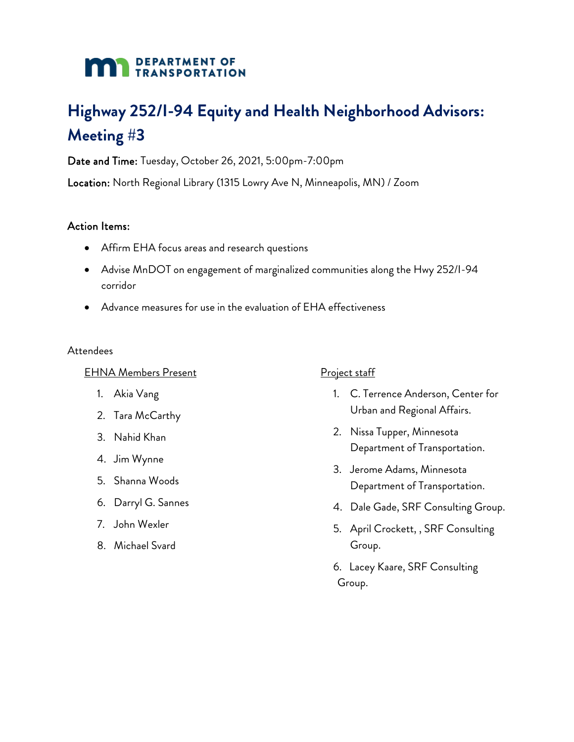## **DEPARTMENT OF TRANSPORTATION**

# **Highway 252/I-94 Equity and Health Neighborhood Advisors: Meeting #3**

Date and Time: Tuesday, October 26, 2021, 5:00pm-7:00pm

Location: North Regional Library (1315 Lowry Ave N, Minneapolis, MN) / Zoom

#### Action Items:

- Affirm EHA focus areas and research questions
- Advise MnDOT on engagement of marginalized communities along the Hwy 252/I-94 corridor
- Advance measures for use in the evaluation of EHA effectiveness

#### **Attendees**

#### EHNA Members Present

- 1. Akia Vang
- 2. Tara McCarthy
- 3. Nahid Khan
- 4. Jim Wynne
- 5. Shanna Woods
- 6. Darryl G. Sannes
- 7. John Wexler
- 8. Michael Svard

## Project staff

- 1. C. Terrence Anderson, Center for Urban and Regional Affairs.
- 2. Nissa Tupper, Minnesota Department of Transportation.
- 3. Jerome Adams, Minnesota Department of Transportation.
- 4. Dale Gade, SRF Consulting Group.
- 5. April Crockett, , SRF Consulting Group.
- 6. Lacey Kaare, SRF Consulting Group.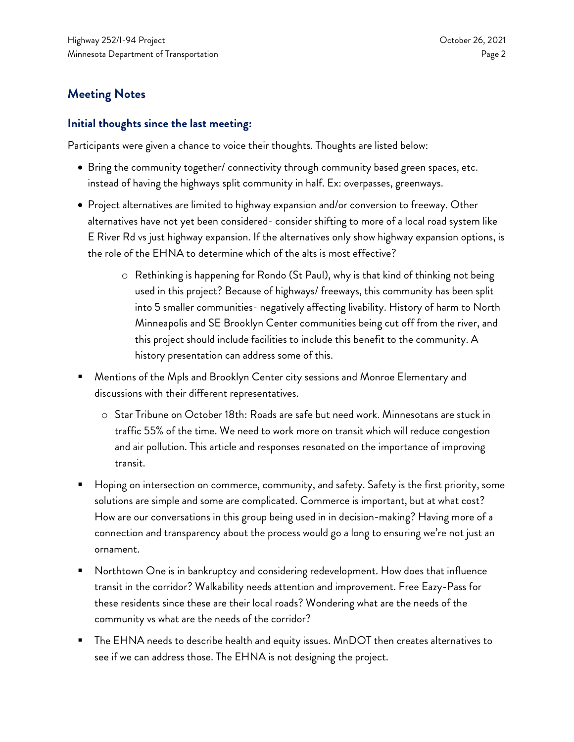# **Meeting Notes**

#### **Initial thoughts since the last meeting:**

Participants were given a chance to voice their thoughts. Thoughts are listed below:

- Bring the community together/ connectivity through community based green spaces, etc. instead of having the highways split community in half. Ex: overpasses, greenways.
- Project alternatives are limited to highway expansion and/or conversion to freeway. Other alternatives have not yet been considered- consider shifting to more of a local road system like E River Rd vs just highway expansion. If the alternatives only show highway expansion options, is the role of the EHNA to determine which of the alts is most effective?
	- o Rethinking is happening for Rondo (St Paul), why is that kind of thinking not being used in this project? Because of highways/ freeways, this community has been split into 5 smaller communities- negatively affecting livability. History of harm to North Minneapolis and SE Brooklyn Center communities being cut off from the river, and this project should include facilities to include this benefit to the community. A history presentation can address some of this.
- Mentions of the Mpls and Brooklyn Center city sessions and Monroe Elementary and discussions with their different representatives.
	- o Star Tribune on October 18th: Roads are safe but need work. Minnesotans are stuck in traffic 55% of the time. We need to work more on transit which will reduce congestion and air pollution. This article and responses resonated on the importance of improving transit.
- Hoping on intersection on commerce, community, and safety. Safety is the first priority, some solutions are simple and some are complicated. Commerce is important, but at what cost? How are our conversations in this group being used in in decision-making? Having more of a connection and transparency about the process would go a long to ensuring we're not just an ornament.
- Northtown One is in bankruptcy and considering redevelopment. How does that influence transit in the corridor? Walkability needs attention and improvement. Free Eazy-Pass for these residents since these are their local roads? Wondering what are the needs of the community vs what are the needs of the corridor?
- The EHNA needs to describe health and equity issues. MnDOT then creates alternatives to see if we can address those. The EHNA is not designing the project.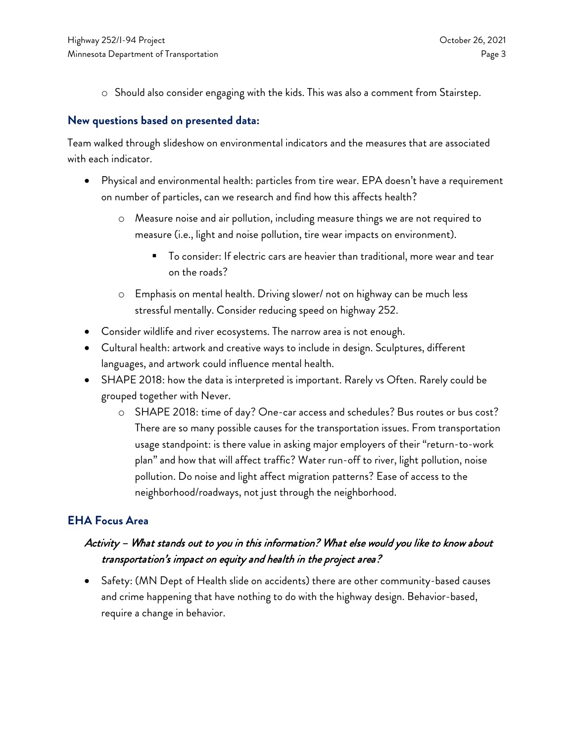o Should also consider engaging with the kids. This was also a comment from Stairstep.

#### **New questions based on presented data:**

Team walked through slideshow on environmental indicators and the measures that are associated with each indicator.

- Physical and environmental health: particles from tire wear. EPA doesn't have a requirement on number of particles, can we research and find how this affects health?
	- o Measure noise and air pollution, including measure things we are not required to measure (i.e., light and noise pollution, tire wear impacts on environment).
		- To consider: If electric cars are heavier than traditional, more wear and tear on the roads?
	- o Emphasis on mental health. Driving slower/ not on highway can be much less stressful mentally. Consider reducing speed on highway 252.
- Consider wildlife and river ecosystems. The narrow area is not enough.
- Cultural health: artwork and creative ways to include in design. Sculptures, different languages, and artwork could influence mental health.
- SHAPE 2018: how the data is interpreted is important. Rarely vs Often. Rarely could be grouped together with Never.
	- o SHAPE 2018: time of day? One-car access and schedules? Bus routes or bus cost? There are so many possible causes for the transportation issues. From transportation usage standpoint: is there value in asking major employers of their "return-to-work plan" and how that will affect traffic? Water run-off to river, light pollution, noise pollution. Do noise and light affect migration patterns? Ease of access to the neighborhood/roadways, not just through the neighborhood.

## **EHA Focus Area**

## Activity – What stands out to you in this information? What else would you like to know about transportation's impact on equity and health in the project area?

• Safety: (MN Dept of Health slide on accidents) there are other community-based causes and crime happening that have nothing to do with the highway design. Behavior-based, require a change in behavior.